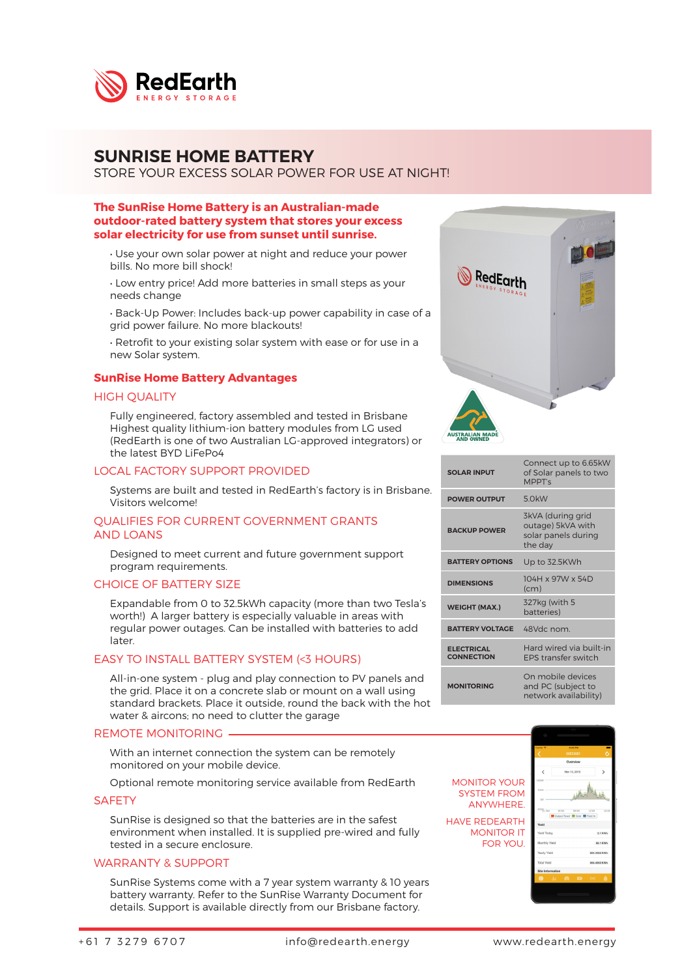

## SUNRISE HOME BATTERY

STORE YOUR EXCESS SOLAR POWER FOR USE AT NIGHT!

## The SunRise Home Battery is an Australian-made outdoor-rated battery system that stores your excess solar electricity for use from sunset until sunrise.

- Use your own solar power at night and reduce your power bills. No more bill shock!
- Low entry price! Add more batteries in small steps as your needs change
- Back-Up Power: Includes back-up power capability in case of a grid power failure. No more blackouts!
- Retrofit to your existing solar system with ease or for use in a new Solar system.

### SunRise Home Battery Advantages

#### HIGH QUALITY

Fully engineered, factory assembled and tested in Brisbane Highest quality lithium-ion battery modules from LG used (RedEarth is one of two Australian LG-approved integrators) or the latest BYD LiFePo4

### LOCAL FACTORY SUPPORT PROVIDED

Systems are built and tested in RedEarth's factory is in Brisbane. Visitors welcome!

#### QUALIFIES FOR CURRENT GOVERNMENT GRANTS AND LOANS

Designed to meet current and future government support program requirements.

#### CHOICE OF BATTERY SIZE

Expandable from 0 to 32.5kWh capacity (more than two Tesla's worth!) A larger battery is especially valuable in areas with regular power outages. Can be installed with batteries to add later.

## EASY TO INSTALL BATTERY SYSTEM (<3 HOURS)

All-in-one system - plug and play connection to PV panels and the grid. Place it on a concrete slab or mount on a wall using standard brackets. Place it outside, round the back with the hot water & aircons; no need to clutter the garage

#### REMOTE MONITORING

With an internet connection the system can be remotely monitored on your mobile device.

Optional remote monitoring service available from RedEarth

#### **SAFETY**

SunRise is designed so that the batteries are in the safest environment when installed. It is supplied pre-wired and fully tested in a secure enclosure.

## WARRANTY & SUPPORT

SunRise Systems come with a 7 year system warranty & 10 years battery warranty. Refer to the SunRise Warranty Document for details. Support is available directly from our Brisbane factory.



| <b>SOLAR INPUT</b>                     | Connect up to 6.65kW<br>of Solar panels to two<br>MPPT's                 |  |
|----------------------------------------|--------------------------------------------------------------------------|--|
| <b>POWER OUTPUT</b>                    | 5 OkW                                                                    |  |
| <b>BACKUP POWER</b>                    | 3kVA (during grid<br>outage) 5kVA with<br>solar panels during<br>the day |  |
| <b>BATTERY OPTIONS</b>                 | Up to 32.5KWh                                                            |  |
| <b>DIMENSIONS</b>                      | 104H x 97W x 54D<br>(c <sub>m</sub> )                                    |  |
| <b>WEIGHT (MAX.)</b>                   | 327kg (with 5<br>batteries)                                              |  |
| <b>BATTERY VOLTAGE</b>                 | 48Vdc nom.                                                               |  |
| <b>ELECTRICAL</b><br><b>CONNECTION</b> | Hard wired via built-in<br><b>FPS transfer switch</b>                    |  |
| <b>MONITORING</b>                      | On mobile devices<br>and PC (subject to<br>network availability)         |  |

SYSTEM FROM ANYWHERE. HAVE REDEARTH MONITOR IT FOR YOU.